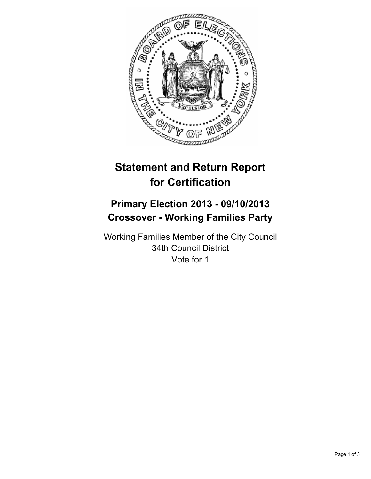

# **Statement and Return Report for Certification**

## **Primary Election 2013 - 09/10/2013 Crossover - Working Families Party**

Working Families Member of the City Council 34th Council District Vote for 1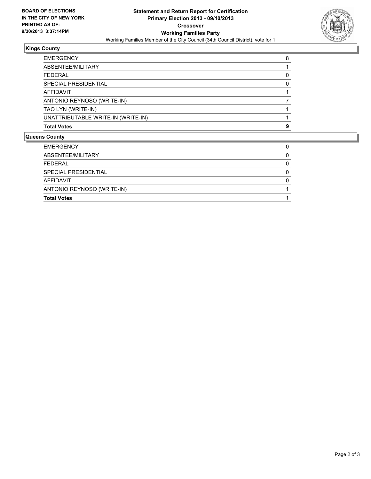

#### **Kings County**

| <b>Total Votes</b>                 | 9 |
|------------------------------------|---|
| UNATTRIBUTABLE WRITE-IN (WRITE-IN) |   |
| TAO LYN (WRITE-IN)                 |   |
| ANTONIO REYNOSO (WRITE-IN)         |   |
| AFFIDAVIT                          |   |
| SPECIAL PRESIDENTIAL               | n |
| <b>FEDERAL</b>                     |   |
| ABSENTEE/MILITARY                  |   |
| <b>EMERGENCY</b>                   | 8 |

### **Queens County**

| <b>Total Votes</b>         |   |
|----------------------------|---|
| ANTONIO REYNOSO (WRITE-IN) |   |
| AFFIDAVIT                  |   |
| SPECIAL PRESIDENTIAL       | 0 |
| <b>FEDERAL</b>             |   |
| ABSENTEE/MILITARY          |   |
| <b>EMERGENCY</b>           |   |